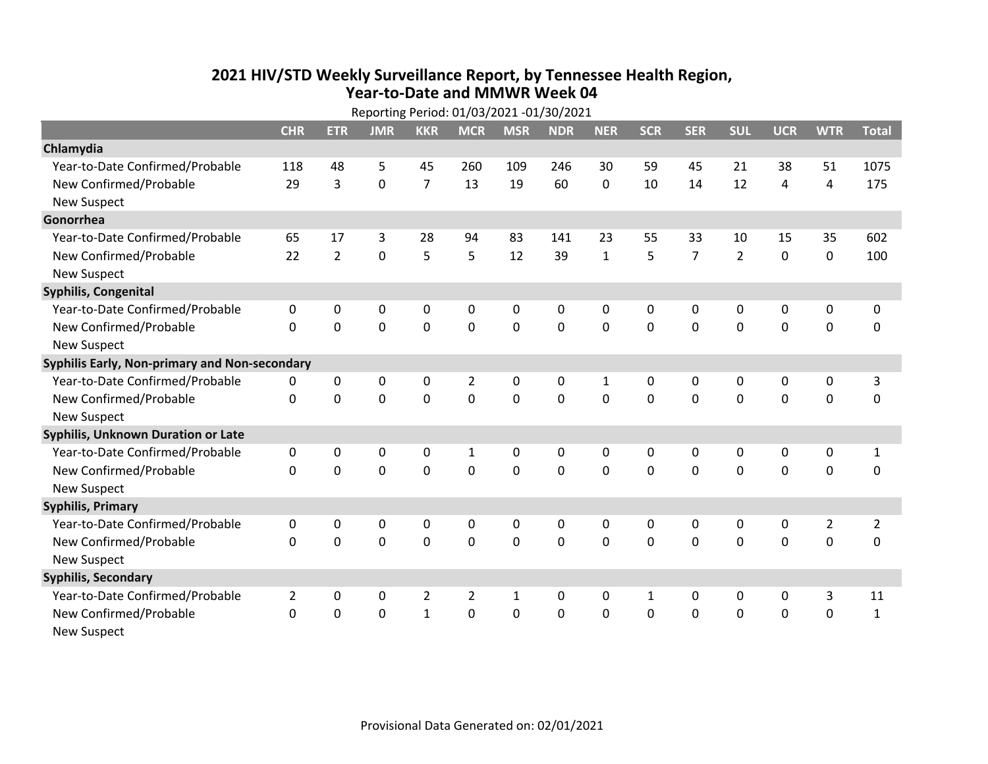## **2021 HIV /STD Weekly Surveillance Report, by Tennessee Health Region, Year‐to‐Date and MMWR Week 04** Reporting Period: 01/03/2021 ‐01/30/2021

| Reporting Period: 01/03/2021 -01/30/2021  |                                               |                |             |                |                |              |            |              |              |                |                |             |                |                |
|-------------------------------------------|-----------------------------------------------|----------------|-------------|----------------|----------------|--------------|------------|--------------|--------------|----------------|----------------|-------------|----------------|----------------|
|                                           | <b>CHR</b>                                    | <b>ETR</b>     | <b>JMR</b>  | <b>KKR</b>     | <b>MCR</b>     | <b>MSR</b>   | <b>NDR</b> | <b>NER</b>   | <b>SCR</b>   | <b>SER</b>     | <b>SUL</b>     | <b>UCR</b>  | <b>WTR</b>     | <b>Total</b>   |
| Chlamydia                                 |                                               |                |             |                |                |              |            |              |              |                |                |             |                |                |
| Year-to-Date Confirmed/Probable           | 118                                           | 48             | 5           | 45             | 260            | 109          | 246        | 30           | 59           | 45             | 21             | 38          | 51             | 1075           |
| New Confirmed/Probable                    | 29                                            | 3              | $\mathbf 0$ | $\overline{7}$ | 13             | 19           | 60         | $\mathbf 0$  | 10           | 14             | 12             | 4           | 4              | 175            |
| <b>New Suspect</b>                        |                                               |                |             |                |                |              |            |              |              |                |                |             |                |                |
| Gonorrhea                                 |                                               |                |             |                |                |              |            |              |              |                |                |             |                |                |
| Year-to-Date Confirmed/Probable           | 65                                            | 17             | 3           | 28             | 94             | 83           | 141        | 23           | 55           | 33             | 10             | 15          | 35             | 602            |
| New Confirmed/Probable                    | 22                                            | $\overline{2}$ | $\mathbf 0$ | 5              | 5              | 12           | 39         | $\mathbf{1}$ | 5            | $\overline{7}$ | $\overline{2}$ | $\mathbf 0$ | $\pmb{0}$      | 100            |
| <b>New Suspect</b>                        |                                               |                |             |                |                |              |            |              |              |                |                |             |                |                |
| <b>Syphilis, Congenital</b>               |                                               |                |             |                |                |              |            |              |              |                |                |             |                |                |
| Year-to-Date Confirmed/Probable           | 0                                             | 0              | 0           | $\mathbf 0$    | 0              | $\mathbf 0$  | 0          | 0            | 0            | $\mathbf 0$    | 0              | $\mathbf 0$ | $\pmb{0}$      | 0              |
| New Confirmed/Probable                    | $\Omega$                                      | $\mathbf 0$    | $\mathbf 0$ | $\mathbf 0$    | $\mathbf 0$    | $\mathbf 0$  | 0          | $\Omega$     | $\Omega$     | $\mathbf 0$    | $\mathbf 0$    | $\mathbf 0$ | $\mathbf 0$    | $\mathbf 0$    |
| <b>New Suspect</b>                        |                                               |                |             |                |                |              |            |              |              |                |                |             |                |                |
|                                           | Syphilis Early, Non-primary and Non-secondary |                |             |                |                |              |            |              |              |                |                |             |                |                |
| Year-to-Date Confirmed/Probable           | 0                                             | 0              | 0           | 0              | $\overline{2}$ | $\mathbf 0$  | 0          | 1            | 0            | 0              | 0              | 0           | 0              | 3              |
| New Confirmed/Probable                    | $\mathbf{0}$                                  | 0              | 0           | 0              | $\mathbf 0$    | $\mathbf 0$  | 0          | $\Omega$     | $\Omega$     | $\Omega$       | $\mathbf 0$    | $\mathbf 0$ | $\mathbf 0$    | 0              |
| <b>New Suspect</b>                        |                                               |                |             |                |                |              |            |              |              |                |                |             |                |                |
| <b>Syphilis, Unknown Duration or Late</b> |                                               |                |             |                |                |              |            |              |              |                |                |             |                |                |
| Year-to-Date Confirmed/Probable           | 0                                             | 0              | $\Omega$    | $\mathbf{0}$   | $\mathbf{1}$   | $\mathbf 0$  | 0          | 0            | $\Omega$     | 0              | $\mathbf{0}$   | 0           | 0              | $\mathbf{1}$   |
| New Confirmed/Probable                    | $\Omega$                                      | $\Omega$       | $\Omega$    | $\Omega$       | $\Omega$       | $\mathbf{0}$ | $\Omega$   | $\Omega$     | $\Omega$     | $\Omega$       | $\Omega$       | $\Omega$    | $\mathbf 0$    | $\mathbf 0$    |
| <b>New Suspect</b>                        |                                               |                |             |                |                |              |            |              |              |                |                |             |                |                |
| <b>Syphilis, Primary</b>                  |                                               |                |             |                |                |              |            |              |              |                |                |             |                |                |
| Year-to-Date Confirmed/Probable           | $\mathbf{0}$                                  | $\mathbf{0}$   | 0           | 0              | 0              | 0            | 0          | 0            | $\Omega$     | $\mathbf{0}$   | 0              | 0           | $\overline{2}$ | $\overline{2}$ |
| New Confirmed/Probable                    | $\Omega$                                      | 0              | 0           | 0              | $\mathbf 0$    | $\mathbf 0$  | 0          | $\Omega$     | $\Omega$     | $\Omega$       | $\overline{0}$ | $\mathbf 0$ | 0              | 0              |
| <b>New Suspect</b>                        |                                               |                |             |                |                |              |            |              |              |                |                |             |                |                |
| <b>Syphilis, Secondary</b>                |                                               |                |             |                |                |              |            |              |              |                |                |             |                |                |
| Year-to-Date Confirmed/Probable           | $\overline{2}$                                | 0              | 0           | $\overline{2}$ | $\overline{2}$ | $\mathbf{1}$ | 0          | $\mathbf{0}$ | $\mathbf{1}$ | $\Omega$       | $\mathbf{0}$   | 0           | 3              | 11             |
| New Confirmed/Probable                    | $\Omega$                                      | 0              | 0           | $\mathbf{1}$   | 0              | $\mathbf 0$  | $\Omega$   | $\Omega$     | $\Omega$     | $\mathbf 0$    | $\mathbf 0$    | $\mathbf 0$ | $\mathbf 0$    | $\mathbf 1$    |
| <b>New Suspect</b>                        |                                               |                |             |                |                |              |            |              |              |                |                |             |                |                |